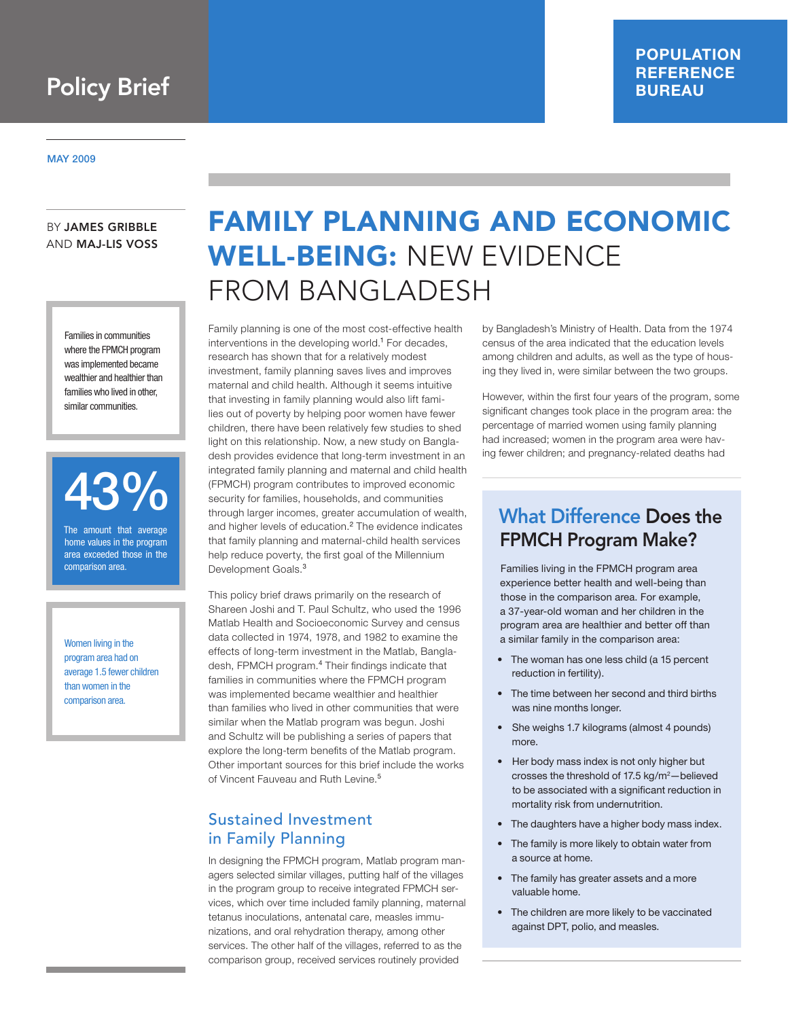#### May 2009

#### by James Gribble AND Maj-Lis Voss

Families in communities where the FPMCH program was implemented became wealthier and healthier than families who lived in other, similar communities.



The amount that average home values in the program area exceeded those in the comparison area.

Women living in the program area had on average 1.5 fewer children than women in the comparison area.

# Family Planning and Economic WELL-BEING: NEW EVIDENCE From Bangladesh

Family planning is one of the most cost-effective health interventions in the developing world.<sup>1</sup> For decades, research has shown that for a relatively modest investment, family planning saves lives and improves maternal and child health. Although it seems intuitive that investing in family planning would also lift families out of poverty by helping poor women have fewer children, there have been relatively few studies to shed light on this relationship. Now, a new study on Bangladesh provides evidence that long-term investment in an integrated family planning and maternal and child health (FPMCH) program contributes to improved economic security for families, households, and communities through larger incomes, greater accumulation of wealth, and higher levels of education.<sup>2</sup> The evidence indicates that family planning and maternal-child health services help reduce poverty, the first goal of the Millennium Development Goals.<sup>3</sup>

This policy brief draws primarily on the research of Shareen Joshi and T. Paul Schultz, who used the 1996 Matlab Health and Socioeconomic Survey and census data collected in 1974, 1978, and 1982 to examine the effects of long-term investment in the Matlab, Bangladesh, FPMCH program.<sup>4</sup> Their findings indicate that families in communities where the FPMCH program was implemented became wealthier and healthier than families who lived in other communities that were similar when the Matlab program was begun. Joshi and Schultz will be publishing a series of papers that explore the long-term benefits of the Matlab program. Other important sources for this brief include the works of Vincent Fauveau and Ruth Levine.<sup>5</sup>

# Sustained Investment in Family Planning

In designing the FPMCH program, Matlab program managers selected similar villages, putting half of the villages in the program group to receive integrated FPMCH services, which over time included family planning, maternal tetanus inoculations, antenatal care, measles immunizations, and oral rehydration therapy, among other services. The other half of the villages, referred to as the comparison group, received services routinely provided

by Bangladesh's Ministry of Health. Data from the 1974 census of the area indicated that the education levels among children and adults, as well as the type of housing they lived in, were similar between the two groups.

However, within the first four years of the program, some significant changes took place in the program area: the percentage of married women using family planning had increased; women in the program area were having fewer children; and pregnancy-related deaths had

# What Difference Does the FPMCH Program Make?

Families living in the FPMCH program area experience better health and well-being than those in the comparison area. For example, a 37-year-old woman and her children in the program area are healthier and better off than a similar family in the comparison area:

- The woman has one less child (a 15 percent reduction in fertility).
- The time between her second and third births was nine months longer.
- She weighs 1.7 kilograms (almost 4 pounds) more.
- Her body mass index is not only higher but crosses the threshold of  $17.5 \text{ kg/m}^2$ -believed to be associated with a significant reduction in mortality risk from undernutrition.
- The daughters have a higher body mass index.
- The family is more likely to obtain water from a source at home.
- The family has greater assets and a more valuable home.
- The children are more likely to be vaccinated against DPT, polio, and measles.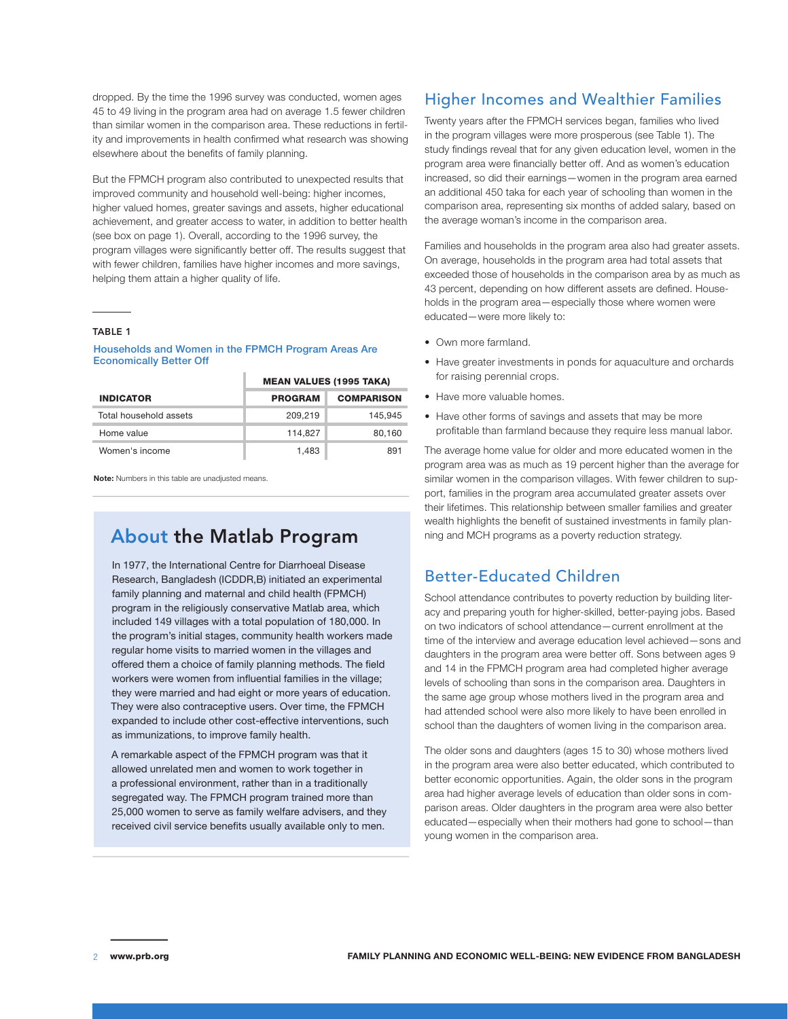dropped. By the time the 1996 survey was conducted, women ages 45 to 49 living in the program area had on average 1.5 fewer children than similar women in the comparison area. These reductions in fertility and improvements in health confirmed what research was showing elsewhere about the benefits of family planning.

But the FPMCH program also contributed to unexpected results that improved community and household well-being: higher incomes, higher valued homes, greater savings and assets, higher educational achievement, and greater access to water, in addition to better health (see box on page 1). Overall, according to the 1996 survey, the program villages were significantly better off. The results suggest that with fewer children, families have higher incomes and more savings, helping them attain a higher quality of life.

#### Table 1

#### Households and Women in the FPMCH Program Areas Are Economically Better Off

|                        | <b>MEAN VALUES (1995 TAKA)</b> |                   |
|------------------------|--------------------------------|-------------------|
| <b>INDICATOR</b>       | <b>PROGRAM</b>                 | <b>COMPARISON</b> |
| Total household assets | 209.219                        | 145.945           |
| Home value             | 114,827                        | 80.160            |
| Women's income         | 1.483                          | 891               |

**Note:** Numbers in this table are unadjusted means.

# About the Matlab Program

In 1977, the International Centre for Diarrhoeal Disease Research, Bangladesh (ICDDR,B) initiated an experimental family planning and maternal and child health (FPMCH) program in the religiously conservative Matlab area, which included 149 villages with a total population of 180,000. In the program's initial stages, community health workers made regular home visits to married women in the villages and offered them a choice of family planning methods. The field workers were women from influential families in the village; they were married and had eight or more years of education. They were also contraceptive users. Over time, the FPMCH expanded to include other cost-effective interventions, such as immunizations, to improve family health.

A remarkable aspect of the FPMCH program was that it allowed unrelated men and women to work together in a professional environment, rather than in a traditionally segregated way. The FPMCH program trained more than 25,000 women to serve as family welfare advisers, and they received civil service benefits usually available only to men.

### Higher Incomes and Wealthier Families

Twenty years after the FPMCH services began, families who lived in the program villages were more prosperous (see Table 1). The study findings reveal that for any given education level, women in the program area were financially better off. And as women's education increased, so did their earnings—women in the program area earned an additional 450 taka for each year of schooling than women in the comparison area, representing six months of added salary, based on the average woman's income in the comparison area.

Families and households in the program area also had greater assets. On average, households in the program area had total assets that exceeded those of households in the comparison area by as much as 43 percent, depending on how different assets are defined. Households in the program area—especially those where women were educated—were more likely to:

- Own more farmland.
- Have greater investments in ponds for aquaculture and orchards for raising perennial crops.
- Have more valuable homes.
- Have other forms of savings and assets that may be more profitable than farmland because they require less manual labor.

The average home value for older and more educated women in the program area was as much as 19 percent higher than the average for similar women in the comparison villages. With fewer children to support, families in the program area accumulated greater assets over their lifetimes. This relationship between smaller families and greater wealth highlights the benefit of sustained investments in family planning and MCH programs as a poverty reduction strategy.

### Better-Educated Children

School attendance contributes to poverty reduction by building literacy and preparing youth for higher-skilled, better-paying jobs. Based on two indicators of school attendance—current enrollment at the time of the interview and average education level achieved—sons and daughters in the program area were better off. Sons between ages 9 and 14 in the FPMCH program area had completed higher average levels of schooling than sons in the comparison area. Daughters in the same age group whose mothers lived in the program area and had attended school were also more likely to have been enrolled in school than the daughters of women living in the comparison area.

The older sons and daughters (ages 15 to 30) whose mothers lived in the program area were also better educated, which contributed to better economic opportunities. Again, the older sons in the program area had higher average levels of education than older sons in comparison areas. Older daughters in the program area were also better educated—especially when their mothers had gone to school—than young women in the comparison area.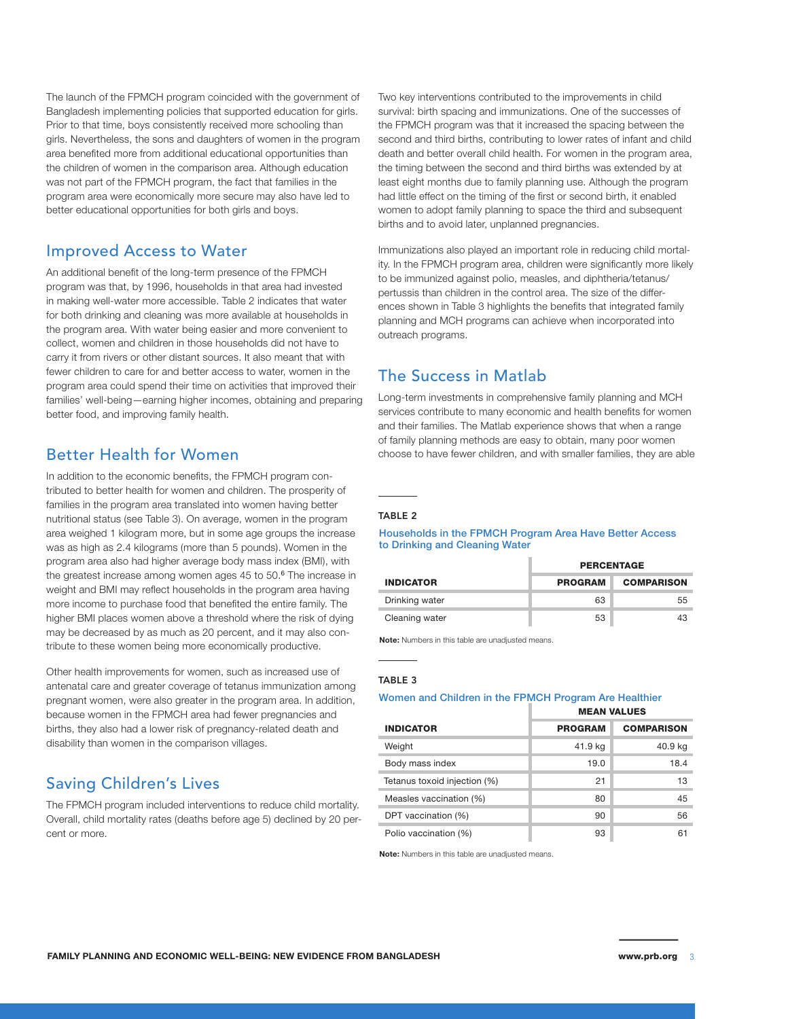The launch of the FPMCH program coincided with the government of Bangladesh implementing policies that supported education for girls. Prior to that time, boys consistently received more schooling than girls. Nevertheless, the sons and daughters of women in the program area benefited more from additional educational opportunities than the children of women in the comparison area. Although education was not part of the FPMCH program, the fact that families in the program area were economically more secure may also have led to better educational opportunities for both girls and boys.

#### Improved Access to Water

An additional benefit of the long-term presence of the FPMCH program was that, by 1996, households in that area had invested in making well-water more accessible. Table 2 indicates that water for both drinking and cleaning was more available at households in the program area. With water being easier and more convenient to collect, women and children in those households did not have to carry it from rivers or other distant sources. It also meant that with fewer children to care for and better access to water, women in the program area could spend their time on activities that improved their families' well-being—earning higher incomes, obtaining and preparing better food, and improving family health.

# Better Health for Women

In addition to the economic benefits, the FPMCH program contributed to better health for women and children. The prosperity of families in the program area translated into women having better nutritional status (see Table 3). On average, women in the program area weighed 1 kilogram more, but in some age groups the increase was as high as 2.4 kilograms (more than 5 pounds). Women in the program area also had higher average body mass index (BMI), with the greatest increase among women ages 45 to 50.<sup>6</sup> The increase in weight and BMI may reflect households in the program area having more income to purchase food that benefited the entire family. The higher BMI places women above a threshold where the risk of dying may be decreased by as much as 20 percent, and it may also contribute to these women being more economically productive.

Other health improvements for women, such as increased use of antenatal care and greater coverage of tetanus immunization among pregnant women, were also greater in the program area. In addition, because women in the FPMCH area had fewer pregnancies and births, they also had a lower risk of pregnancy-related death and disability than women in the comparison villages.

# Saving Children's Lives

The FPMCH program included interventions to reduce child mortality. Overall, child mortality rates (deaths before age 5) declined by 20 percent or more.

Two key interventions contributed to the improvements in child survival: birth spacing and immunizations. One of the successes of the FPMCH program was that it increased the spacing between the second and third births, contributing to lower rates of infant and child death and better overall child health. For women in the program area, the timing between the second and third births was extended by at least eight months due to family planning use. Although the program had little effect on the timing of the first or second birth, it enabled women to adopt family planning to space the third and subsequent births and to avoid later, unplanned pregnancies.

Immunizations also played an important role in reducing child mortality. In the FPMCH program area, children were significantly more likely to be immunized against polio, measles, and diphtheria/tetanus/ pertussis than children in the control area. The size of the differences shown in Table 3 highlights the benefits that integrated family planning and MCH programs can achieve when incorporated into outreach programs.

### The Success in Matlab

Long-term investments in comprehensive family planning and MCH services contribute to many economic and health benefits for women and their families. The Matlab experience shows that when a range of family planning methods are easy to obtain, many poor women choose to have fewer children, and with smaller families, they are able

#### TARIF<sub>2</sub>

#### Households in the FPMCH Program Area Have Better Access to Drinking and Cleaning Water

|                  | <b>PERCENTAGE</b> |                   |
|------------------|-------------------|-------------------|
| <b>INDICATOR</b> | <b>PROGRAM</b>    | <b>COMPARISON</b> |
| Drinking water   | 63                | 55                |
| Cleaning water   | 53                | 43                |

**Note:** Numbers in this table are unadjusted means.

#### Table 3

#### Women and Children in the FPMCH Program Are Healthier

|                              | <b>MEAN VALUES</b> |                   |
|------------------------------|--------------------|-------------------|
| <b>INDICATOR</b>             | <b>PROGRAM</b>     | <b>COMPARISON</b> |
| Weight                       | 41.9 kg            | 40.9 kg           |
| Body mass index              | 19.0               | 18.4              |
| Tetanus toxoid injection (%) | 21                 | 13                |
| Measles vaccination (%)      | 80                 | 45                |
| DPT vaccination (%)          | 90                 | 56                |
| Polio vaccination (%)        | 93                 | 61                |

**Note:** Numbers in this table are unadjusted means.